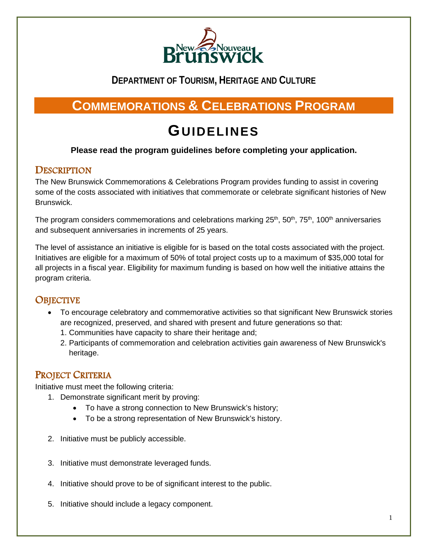

## **DEPARTMENT OF TOURISM, HERITAGE AND CULTURE**

# **COMMEMORATIONS & CELEBRATIONS PROGRAM**

# **GUIDELINES**

#### **Please read the program guidelines before completing your application.**

#### **DESCRIPTION**

The New Brunswick Commemorations & Celebrations Program provides funding to assist in covering some of the costs associated with initiatives that commemorate or celebrate significant histories of New Brunswick.

The program considers commemorations and celebrations marking  $25<sup>th</sup>$ ,  $50<sup>th</sup>$ ,  $75<sup>th</sup>$ ,  $100<sup>th</sup>$  anniversaries and subsequent anniversaries in increments of 25 years.

The level of assistance an initiative is eligible for is based on the total costs associated with the project. Initiatives are eligible for a maximum of 50% of total project costs up to a maximum of \$35,000 total for all projects in a fiscal year. Eligibility for maximum funding is based on how well the initiative attains the program criteria.

### **OBJECTIVE**

- To encourage celebratory and commemorative activities so that significant New Brunswick stories are recognized, preserved, and shared with present and future generations so that:
	- 1. Communities have capacity to share their heritage and;
	- 2. Participants of commemoration and celebration activities gain awareness of New Brunswick's heritage.

### PROJECT CRITERIA

Initiative must meet the following criteria:

- 1. Demonstrate significant merit by proving:
	- To have a strong connection to New Brunswick's history;
	- To be a strong representation of New Brunswick's history.
- 2. Initiative must be publicly accessible.
- 3. Initiative must demonstrate leveraged funds.
- 4. Initiative should prove to be of significant interest to the public.
- 5. Initiative should include a legacy component.